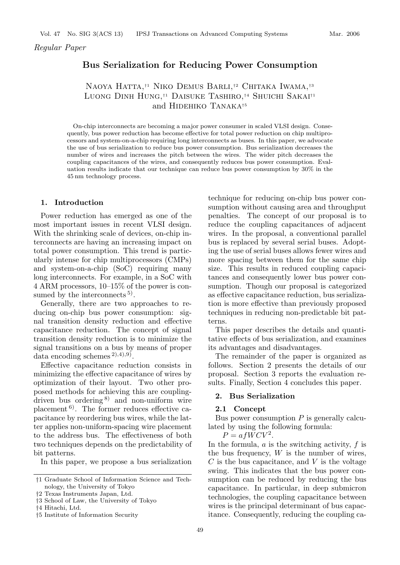*Regular Paper*

# **Bus Serialization for Reducing Power Consumption**

Naoya Hatta,*†*<sup>1</sup> Niko Demus Barli,*†*<sup>2</sup> Chitaka Iwama,*†*<sup>3</sup> Luong Dinh Hung,*†*<sup>1</sup> Daisuke Tashiro,*†*<sup>4</sup> Shuichi Sakai*†*<sup>1</sup> and Hidehiko Tanaka*†*<sup>5</sup>

On-chip interconnects are becoming a major power consumer in scaled VLSI design. Consequently, bus power reduction has become effective for total power reduction on chip multiprocessors and system-on-a-chip requiring long interconnects as buses. In this paper, we advocate the use of bus serialization to reduce bus power consumption. Bus serialization decreases the number of wires and increases the pitch between the wires. The wider pitch decreases the coupling capacitances of the wires, and consequently reduces bus power consumption. Evaluation results indicate that our technique can reduce bus power consumption by 30% in the 45 nm technology process.

### **1. Introduction**

Power reduction has emerged as one of the most important issues in recent VLSI design. With the shrinking scale of devices, on-chip interconnects are having an increasing impact on total power consumption. This trend is particularly intense for chip multiprocessors (CMPs) and system-on-a-chip (SoC) requiring many long interconnects. For example, in a SoC with 4 ARM processors, 10–15% of the power is consumed by the interconnects  $5$ .

Generally, there are two approaches to reducing on-chip bus power consumption: signal transition density reduction and effective capacitance reduction. The concept of signal transition density reduction is to minimize the signal transitions on a bus by means of proper data encoding schemes  $^{2), (4), (9)}$ .

Effective capacitance reduction consists in minimizing the effective capacitance of wires by optimization of their layout. Two other proposed methods for achieving this are couplingdriven bus ordering  $8$  and non-uniform wire placement  $^{6}$ . The former reduces effective capacitance by reordering bus wires, while the latter applies non-uniform-spacing wire placement to the address bus. The effectiveness of both two techniques depends on the predictability of bit patterns.

In this paper, we propose a bus serialization

technique for reducing on-chip bus power consumption without causing area and throughput penalties. The concept of our proposal is to reduce the coupling capacitances of adjacent wires. In the proposal, a conventional parallel bus is replaced by several serial buses. Adopting the use of serial buses allows fewer wires and more spacing between them for the same chip size. This results in reduced coupling capacitances and consequently lower bus power consumption. Though our proposal is categorized as effective capacitance reduction, bus serialization is more effective than previously proposed techniques in reducing non-predictable bit patterns.

This paper describes the details and quantitative effects of bus serialization, and examines its advantages and disadvantages.

The remainder of the paper is organized as follows. Section 2 presents the details of our proposal. Section 3 reports the evaluation results. Finally, Section 4 concludes this paper.

## **2. Bus Serialization**

### **2.1 Concept**

Bus power consumption  $P$  is generally calculated by using the following formula:

 $P = afWCV<sup>2</sup>$ .

In the formula,  $a$  is the switching activity,  $f$  is the bus frequency,  $W$  is the number of wires,  $C$  is the bus capacitance, and  $V$  is the voltage swing. This indicates that the bus power consumption can be reduced by reducing the bus capacitance. In particular, in deep submicron technologies, the coupling capacitance between wires is the principal determinant of bus capacitance. Consequently, reducing the coupling ca-

*<sup>†</sup>*1 Graduate School of Information Science and Technology, the University of Tokyo

*<sup>†</sup>*2 Texas Instruments Japan, Ltd.

*<sup>†</sup>*3 School of Law, the University of Tokyo

*<sup>†</sup>*4 Hitachi, Ltd.

*<sup>†</sup>*5 Institute of Information Security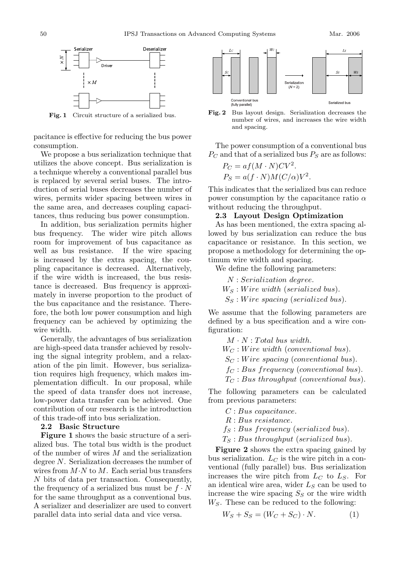

**Fig. 1** Circuit structure of a serialized bus.

pacitance is effective for reducing the bus power consumption.

We propose a bus serialization technique that utilizes the above concept. Bus serialization is a technique whereby a conventional parallel bus is replaced by several serial buses. The introduction of serial buses decreases the number of wires, permits wider spacing between wires in the same area, and decreases coupling capacitances, thus reducing bus power consumption.

In addition, bus serialization permits higher bus frequency. The wider wire pitch allows room for improvement of bus capacitance as well as bus resistance. If the wire spacing is increased by the extra spacing, the coupling capacitance is decreased. Alternatively, if the wire width is increased, the bus resistance is decreased. Bus frequency is approximately in inverse proportion to the product of the bus capacitance and the resistance. Therefore, the both low power consumption and high frequency can be achieved by optimizing the wire width.

Generally, the advantages of bus serialization are high-speed data transfer achieved by resolving the signal integrity problem, and a relaxation of the pin limit. However, bus serialization requires high frequency, which makes implementation difficult. In our proposal, while the speed of data transfer does not increase, low-power data transfer can be achieved. One contribution of our research is the introduction of this trade-off into bus serialization.

## **2.2 Basic Structure**

**Figure 1** shows the basic structure of a serialized bus. The total bus width is the product of the number of wires M and the serialization degree N. Serialization decreases the number of wires from  $M\cdot N$  to M. Each serial bus transfers N bits of data per transaction. Consequently, the frequency of a serialized bus must be  $f \cdot N$ for the same throughput as a conventional bus. A serializer and deserializer are used to convert parallel data into serial data and vice versa.



**Fig. 2** Bus layout design. Serialization decreases the number of wires, and increases the wire width and spacing.

The power consumption of a conventional bus  $P_C$  and that of a serialized bus  $P_S$  are as follows:

$$
P_C = af(M \cdot N)CV^2.
$$
  
\n
$$
P_S = a(f \cdot N)M(C/\alpha)V^2.
$$

This indicates that the serialized bus can reduce power consumption by the capacitance ratio  $\alpha$ without reducing the throughput.

## **2.3 Layout Design Optimization**

As has been mentioned, the extra spacing allowed by bus serialization can reduce the bus capacitance or resistance. In this section, we propose a methodology for determining the optimum wire width and spacing.

We define the following parameters:

N : Serialization degree.  $W_S: Wire width (serialized bus).$  $S_S$ : Wire spacing (serialized bus).

We assume that the following parameters are defined by a bus specification and a wire configuration:

 $M \cdot N$ : Total bus width.  $W_C$ : Wire width (conventional bus).  $S_C$ : Wire spacing (conventional bus).  $f_C$ : Bus frequency (conventional bus).  $T_C$ : Bus throughput (conventional bus).

The following parameters can be calculated from previous parameters:

- C : Bus capacitance.
- R : Bus resistance.
- f*<sup>S</sup>* : Bus frequency (serialized bus).
- T*<sup>S</sup>* : Bus throughput (serialized bus).

**Figure 2** shows the extra spacing gained by bus serialization.  $L_C$  is the wire pitch in a conventional (fully parallel) bus. Bus serialization increases the wire pitch from L*<sup>C</sup>* to L*S*. For an identical wire area, wider L*<sup>S</sup>* can be used to increase the wire spacing S*<sup>S</sup>* or the wire width W*S*. These can be reduced to the following:

$$
W_S + S_S = (W_C + S_C) \cdot N. \tag{1}
$$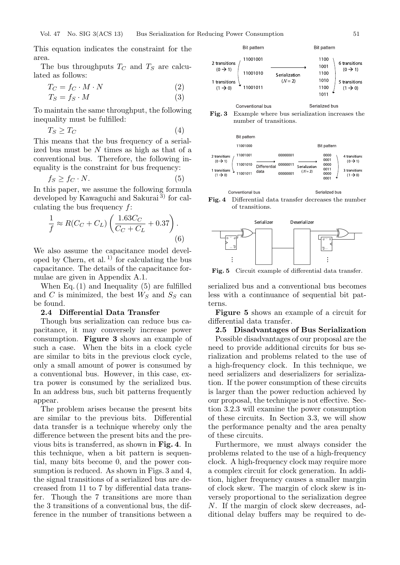This equation indicates the constraint for the area.

The bus throughputs T*<sup>C</sup>* and T*<sup>S</sup>* are calculated as follows:

$$
T_C = f_C \cdot M \cdot N \tag{2}
$$

$$
T_S = f_S \cdot M \tag{3}
$$

To maintain the same throughput, the following inequality must be fulfilled:

$$
T_S \ge T_C \tag{4}
$$

This means that the bus frequency of a serialized bus must be  $N$  times as high as that of a conventional bus. Therefore, the following inequality is the constraint for bus frequency:

$$
f_S \ge f_C \cdot N. \tag{5}
$$

In this paper, we assume the following formula developed by Kawaguchi and Sakurai<sup>3)</sup> for calculating the bus frequency  $f$ :

$$
\frac{1}{f} \approx R(C_C + C_L) \left( \frac{1.63C_C}{C_C + C_L} + 0.37 \right). \tag{6}
$$

We also assume the capacitance model developed by Chern, et al.<sup>1)</sup> for calculating the bus capacitance. The details of the capacitance formulae are given in Appendix A.1.

When Eq. (1) and Inequality (5) are fulfilled and C is minimized, the best W*<sup>S</sup>* and S*<sup>S</sup>* can be found.

### **2.4 Differential Data Transfer**

Though bus serialization can reduce bus capacitance, it may conversely increase power consumption. **Figure 3** shows an example of such a case. When the bits in a clock cycle are similar to bits in the previous clock cycle, only a small amount of power is consumed by a conventional bus. However, in this case, extra power is consumed by the serialized bus. In an address bus, such bit patterns frequently appear.

The problem arises because the present bits are similar to the previous bits. Differential data transfer is a technique whereby only the difference between the present bits and the previous bits is transferred, as shown in **Fig. 4**. In this technique, when a bit pattern is sequential, many bits become 0, and the power consumption is reduced. As shown in Figs. 3 and 4, the signal transitions of a serialized bus are decreased from 11 to 7 by differential data transfer. Though the 7 transitions are more than the 3 transitions of a conventional bus, the difference in the number of transitions between a











Conventional bus



**Fig. 5** Circuit example of differential data transfer.

serialized bus and a conventional bus becomes less with a continuance of sequential bit patterns.

**Figure 5** shows an example of a circuit for differential data transfer.

## **2.5 Disadvantages of Bus Serialization**

Possible disadvantages of our proposal are the need to provide additional circuits for bus serialization and problems related to the use of a high-frequency clock. In this technique, we need serializers and deserializers for serialization. If the power consumption of these circuits is larger than the power reduction achieved by our proposal, the technique is not effective. Section 3.2.3 will examine the power consumption of these circuits. In Section 3.3, we will show the performance penalty and the area penalty of these circuits.

Furthermore, we must always consider the problems related to the use of a high-frequency clock. A high-frequency clock may require more a complex circuit for clock generation. In addition, higher frequency causes a smaller margin of clock skew. The margin of clock skew is inversely proportional to the serialization degree N. If the margin of clock skew decreases, additional delay buffers may be required to de-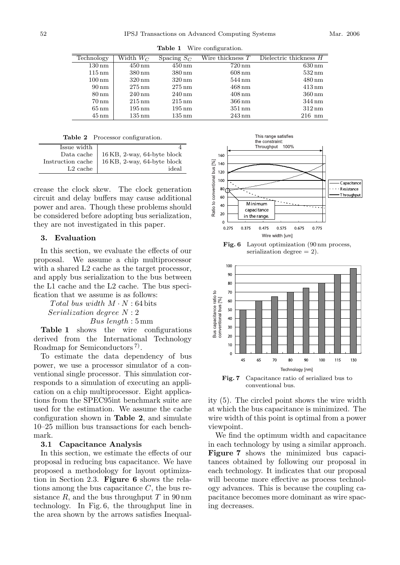| Technology          | Width $W_C$         | Spacing $S_C$       | Wire thickness $T$  | Dielectric thickness $H$ |
|---------------------|---------------------|---------------------|---------------------|--------------------------|
| $130 \,\mathrm{nm}$ | $450 \,\mathrm{nm}$ | $450 \,\mathrm{nm}$ | $720\,\mathrm{nm}$  | $630\,\mathrm{nm}$       |
| $115 \,\mathrm{nm}$ | $380 \,\mathrm{nm}$ | $380\,\mathrm{nm}$  | $608 \,\mathrm{nm}$ | $532 \,\mathrm{nm}$      |
| $100 \,\mathrm{nm}$ | $320 \,\mathrm{nm}$ | $320\,\mathrm{nm}$  | $544 \,\mathrm{nm}$ | $480\,\mathrm{nm}$       |
| $90\,\mathrm{nm}$   | $275 \,\mathrm{nm}$ | $275 \,\mathrm{nm}$ | $468 \,\mathrm{nm}$ | $413 \,\mathrm{nm}$      |
| $80\,\mathrm{nm}$   | $240\,\mathrm{nm}$  | $240\,\mathrm{nm}$  | $408 \,\mathrm{nm}$ | $360\,\mathrm{nm}$       |
| $70\,\mathrm{nm}$   | $215 \,\mathrm{nm}$ | $215 \,\mathrm{nm}$ | $366 \,\mathrm{nm}$ | $344 \text{ nm}$         |
| $65 \,\mathrm{nm}$  | $195 \,\mathrm{nm}$ | $195 \,\mathrm{nm}$ | $351 \,\mathrm{nm}$ | $312 \,\mathrm{nm}$      |
| $45 \,\mathrm{nm}$  | $135 \,\rm nm$      | $135 \,\mathrm{nm}$ | $243 \,\mathrm{nm}$ | $216$ nm                 |

**Table 1** Wire configuration.

**Table 2** Processor configuration.

| Issue width       |                             |
|-------------------|-----------------------------|
| Data cache        | 16 KB, 2-way, 64-byte block |
| Instruction cache | 16 KB, 2-way, 64-byte block |
| $L2$ cache        | ideal                       |

crease the clock skew. The clock generation circuit and delay buffers may cause additional power and area. Though these problems should be considered before adopting bus serialization, they are not investigated in this paper.

## **3. Evaluation**

In this section, we evaluate the effects of our proposal. We assume a chip multiprocessor with a shared L2 cache as the target processor, and apply bus serialization to the bus between the L1 cache and the L2 cache. The bus specification that we assume is as follows:

Total bus width  $M \cdot N$ : 64 bits Serialization degree N : 2

Bus length : 5 mm

**Table 1** shows the wire configurations derived from the International Technology Roadmap for Semiconductors<sup>7</sup>.

To estimate the data dependency of bus power, we use a processor simulator of a conventional single processor. This simulation corresponds to a simulation of executing an application on a chip multiprocessor. Eight applications from the SPEC95int benchmark suite are used for the estimation. We assume the cache configuration shown in **Table 2**, and simulate 10–25 million bus transactions for each benchmark.

## **3.1 Capacitance Analysis**

In this section, we estimate the effects of our proposal in reducing bus capacitance. We have proposed a methodology for layout optimization in Section 2.3. **Figure 6** shows the relations among the bus capacitance  $C$ , the bus resistance  $R$ , and the bus throughput  $T$  in 90 nm technology. In Fig. 6, the throughput line in the area shown by the arrows satisfies Inequal-







conventional bus.

ity (5). The circled point shows the wire width at which the bus capacitance is minimized. The wire width of this point is optimal from a power viewpoint.

We find the optimum width and capacitance in each technology by using a similar approach. **Figure 7** shows the minimized bus capacitances obtained by following our proposal in each technology. It indicates that our proposal will become more effective as process technology advances. This is because the coupling capacitance becomes more dominant as wire spacing decreases.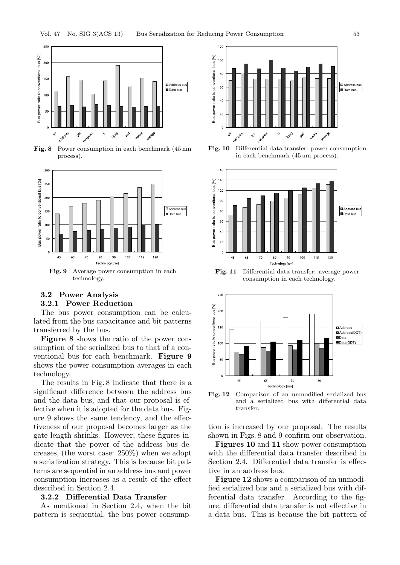

**Fig. 8** Power consumption in each benchmark (45 nm process).



# **3.2 Power Analysis**

## **3.2.1 Power Reduction**

The bus power consumption can be calculated from the bus capacitance and bit patterns transferred by the bus.

**Figure 8** shows the ratio of the power consumption of the serialized bus to that of a conventional bus for each benchmark. **Figure 9** shows the power consumption averages in each technology.

The results in Fig. 8 indicate that there is a significant difference between the address bus and the data bus, and that our proposal is effective when it is adopted for the data bus. Figure 9 shows the same tendency, and the effectiveness of our proposal becomes larger as the gate length shrinks. However, these figures indicate that the power of the address bus decreases, (the worst case: 250%) when we adopt a serialization strategy. This is because bit patterns are sequential in an address bus and power consumption increases as a result of the effect described in Section 2.4.

### **3.2.2 Differential Data Transfer**

As mentioned in Section 2.4, when the bit pattern is sequential, the bus power consump-



**Fig. 10** Differential data transfer: power consumption in each benchmark (45 nm process).



**Fig. 11** Differential data transfer: average power consumption in each technology.



**Fig. 12** Comparison of an unmodified serialized bus and a serialized bus with differential data transfer.

tion is increased by our proposal. The results shown in Figs. 8 and 9 confirm our observation.

**Figures 10** and **11** show power consumption with the differential data transfer described in Section 2.4. Differential data transfer is effective in an address bus.

**Figure 12** shows a comparison of an unmodified serialized bus and a serialized bus with differential data transfer. According to the figure, differential data transfer is not effective in a data bus. This is because the bit pattern of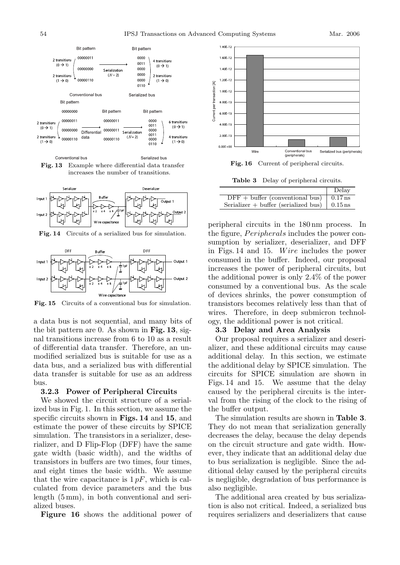

Serialized bus **Fig. 13** Example where differential data transfer increases the number of transitions.



**Fig. 14** Circuits of a serialized bus for simulation.



**Fig. 15** Circuits of a conventional bus for simulation.

a data bus is not sequential, and many bits of the bit pattern are 0. As shown in **Fig. 13**, signal transitions increase from 6 to 10 as a result of differential data transfer. Therefore, an unmodified serialized bus is suitable for use as a data bus, and a serialized bus with differential data transfer is suitable for use as an address bus.

#### **3.2.3 Power of Peripheral Circuits**

We showed the circuit structure of a serialized bus in Fig. 1. In this section, we assume the specific circuits shown in **Figs. 14** and **15**, and estimate the power of these circuits by SPICE simulation. The transistors in a serializer, deserializer, and D Flip-Flop (DFF) have the same gate width (basic width), and the widths of transistors in buffers are two times, four times, and eight times the basic width. We assume that the wire capacitance is  $1 pF$ , which is calculated from device parameters and the bus length (5 mm), in both conventional and serialized buses.

**Figure 16** shows the additional power of



**Table 3** Delay of peripheral circuits.

|                                                      | Delay |
|------------------------------------------------------|-------|
| $DFF + buffer$ (conventional bus) 0.17 ns            |       |
| Serializer + buffer (serialized bus) $\vert$ 0.15 ns |       |

peripheral circuits in the 180 nm process. In the figure, *Peripherals* includes the power consumption by serializer, deserializer, and DFF in Figs. 14 and 15. W ire includes the power consumed in the buffer. Indeed, our proposal increases the power of peripheral circuits, but the additional power is only 2.4% of the power consumed by a conventional bus. As the scale of devices shrinks, the power consumption of transistors becomes relatively less than that of wires. Therefore, in deep submicron technology, the additional power is not critical.

## **3.3 Delay and Area Analysis**

Our proposal requires a serializer and deserializer, and these additional circuits may cause additional delay. In this section, we estimate the additional delay by SPICE simulation. The circuits for SPICE simulation are shown in Figs. 14 and 15. We assume that the delay caused by the peripheral circuits is the interval from the rising of the clock to the rising of the buffer output.

The simulation results are shown in **Table 3**. They do not mean that serialization generally decreases the delay, because the delay depends on the circuit structure and gate width. However, they indicate that an additional delay due to bus serialization is negligible. Since the additional delay caused by the peripheral circuits is negligible, degradation of bus performance is also negligible.

The additional area created by bus serialization is also not critical. Indeed, a serialized bus requires serializers and deserializers that cause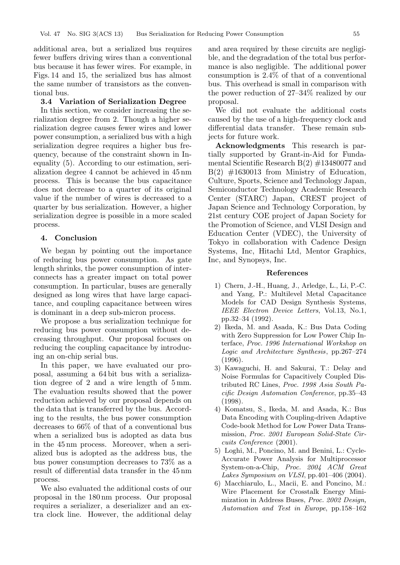additional area, but a serialized bus requires fewer buffers driving wires than a conventional bus because it has fewer wires. For example, in Figs. 14 and 15, the serialized bus has almost the same number of transistors as the conventional bus.

### **3.4 Variation of Serialization Degree**

In this section, we consider increasing the serialization degree from 2. Though a higher serialization degree causes fewer wires and lower power consumption, a serialized bus with a high serialization degree requires a higher bus frequency, because of the constraint shown in Inequality (5). According to our estimation, serialization degree 4 cannot be achieved in 45 nm process. This is because the bus capacitance does not decrease to a quarter of its original value if the number of wires is decreased to a quarter by bus serialization. However, a higher serialization degree is possible in a more scaled process.

## **4. Conclusion**

We began by pointing out the importance of reducing bus power consumption. As gate length shrinks, the power consumption of interconnects has a greater impact on total power consumption. In particular, buses are generally designed as long wires that have large capacitance, and coupling capacitance between wires is dominant in a deep sub-micron process.

We propose a bus serialization technique for reducing bus power consumption without decreasing throughput. Our proposal focuses on reducing the coupling capacitance by introducing an on-chip serial bus.

In this paper, we have evaluated our proposal, assuming a 64 bit bus with a serialization degree of 2 and a wire length of 5 mm. The evaluation results showed that the power reduction achieved by our proposal depends on the data that is transferred by the bus. According to the results, the bus power consumption decreases to 66% of that of a conventional bus when a serialized bus is adopted as data bus in the 45 nm process. Moreover, when a serialized bus is adopted as the address bus, the bus power consumption decreases to 73% as a result of differential data transfer in the 45 nm process.

We also evaluated the additional costs of our proposal in the 180 nm process. Our proposal requires a serializer, a deserializer and an extra clock line. However, the additional delay and area required by these circuits are negligible, and the degradation of the total bus performance is also negligible. The additional power consumption is 2.4% of that of a conventional bus. This overhead is small in comparison with the power reduction of 27–34% realized by our proposal.

We did not evaluate the additional costs caused by the use of a high-frequency clock and differential data transfer. These remain subjects for future work.

**Acknowledgments** This research is partially supported by Grant-in-Aid for Fundamental Scientific Research  $B(2)$  #13480077 and  $B(2)$  #1630013 from Ministry of Education, Culture, Sports, Science and Technology Japan, Semiconductor Technology Academic Research Center (STARC) Japan, CREST project of Japan Science and Technology Corporation, by 21st century COE project of Japan Society for the Promotion of Science, and VLSI Design and Education Center (VDEC), the University of Tokyo in collaboration with Cadence Design Systems, Inc, Hitachi Ltd, Mentor Graphics, Inc, and Synopsys, Inc.

## **References**

- 1) Chern, J.-H., Huang, J., Arledge, L., Li, P.-C. and Yang, P.: Multilevel Metal Capacitance Models for CAD Design Synthesis Systems, *IEEE Electron Device Letters*, Vol.13, No.1, pp.32–34 (1992).
- 2) Ikeda, M. and Asada, K.: Bus Data Coding with Zero Suppression for Low Power Chip Interface, *Proc. 1996 International Workshop on Logic and Architecture Synthesis*, pp.267–274 (1996).
- 3) Kawaguchi, H. and Sakurai, T.: Delay and Noise Formulas for Capacitively Coupled Distributed RC Lines, *Proc. 1998 Asia South Pacific Design Automation Conference*, pp.35–43 (1998).
- 4) Komatsu, S., Ikeda, M. and Asada, K.: Bus Data Encoding with Coupling-driven Adaptive Code-book Method for Low Power Data Transmission, *Proc. 2001 European Solid-State Circuits Conference* (2001).
- 5) Loghi, M., Poncino, M. and Benini, L.: Cycle-Accurate Power Analysis for Multiprocessor System-on-a-Chip, *Proc. 2004 ACM Great Lakes Symposium on VLSI*, pp.401–406 (2004).
- 6) Macchiarulo, L., Macii, E. and Poncino, M.: Wire Placement for Crosstalk Energy Minimization in Address Buses, *Proc. 2002 Design, Automation and Test in Europe*, pp.158–162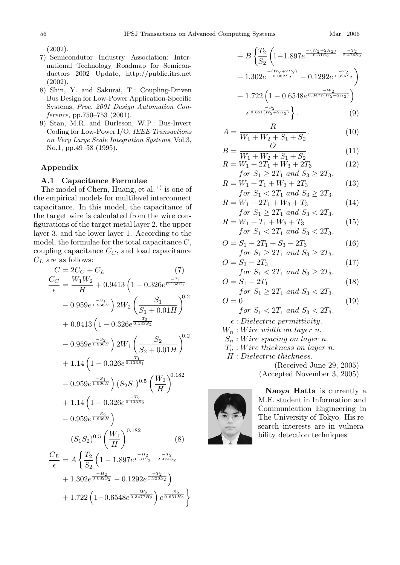(2002).

- 7) Semicondutor Industry Association: International Technology Roadmap for Semiconductors 2002 Update, http://public.itrs.net (2002).
- 8) Shin, Y. and Sakurai, T.: Coupling-Driven Bus Design for Low-Power Application-Specific Systems, *Proc. 2001 Design Automation Conference*, pp.750–753 (2001).
- 9) Stan, M.R. and Burleson, W.P.: Bus-Invert Coding for Low-Power I/O, *IEEE Transactions on Very Large Scale Integration Systems*, Vol.3, No.1, pp.49–58 (1995).

## **Appendix**

### **A.1 Capacitance Formulae**

The model of Chern, Huang, et al.  $^{1)}$  is one of the empirical models for multilevel interconnect capacitance. In this model, the capacitance of the target wire is calculated from the wire configurations of the target metal layer 2, the upper layer 3, and the lower layer 1. According to the model, the formulae for the total capacitance  $C$ , coupling capacitance C*C*, and load capacitance C*<sup>L</sup>* are as follows:

$$
C = 2C_C + C_L
$$
(7)  
\n
$$
\frac{C_C}{\epsilon} = \frac{W_1 W_2}{H} + 0.9413 \left(1 - 0.326e^{\frac{-T_1}{0.13351}}
$$
  
\n
$$
- 0.959e^{\frac{-S_1}{1.966H}}\right) 2W_2 \left(\frac{S_1}{S_1 + 0.01H}\right)^{0.2}
$$
  
\n
$$
+ 0.9413 \left(1 - 0.326e^{\frac{-T_2}{0.13352}}
$$
  
\n
$$
- 0.959e^{\frac{-S_2}{1.966H}}\right) 2W_1 \left(\frac{S_2}{S_2 + 0.01H}\right)^{0.2}
$$
  
\n
$$
+ 1.14 \left(1 - 0.326e^{\frac{-T_1}{0.13351}}
$$
  
\n
$$
- 0.959e^{\frac{-S_1}{1.966H}}\right) (S_2 S_1)^{0.5} \left(\frac{W_2}{H}\right)^{0.182}
$$
  
\n
$$
+ 1.14 \left(1 - 0.326e^{\frac{-T_2}{0.13352}}
$$
  
\n
$$
- 0.959e^{\frac{-S_2}{1.966H}}
$$
  
\n
$$
(S_1 S_2)^{0.5} \left(\frac{W_1}{H}\right)^{0.182}
$$
(8)  
\n
$$
\frac{C_L}{\epsilon} = A \left\{\frac{T_2}{S_2} \left(1 - 1.897e^{\frac{-H_2}{0.3152} - \frac{-T_2}{2.47452}}
$$
  
\n
$$
+ 1.302e^{\frac{-H_2}{0.08252}} - 0.1292e^{\frac{-T_2}{1.32652}}\right)
$$
  
\n
$$
+ 1.722 \left(1 - 0.6548e^{\frac{-T_2}{0.3477H_2}}\right)e^{\frac{-S_2}{0.651H_2}}
$$

$$
+ B\left\{\frac{T_2}{S_2}\left(1-1.897e^{\frac{-(W_2+2H_2)}{0.31S_2}-\frac{T_2}{2.474S_2}}\right.\right.\\ \left. + 1.302e^{\frac{-(W_2+2H_2)}{0.082S_2}}-0.1292e^{\frac{-T_2}{1.326S_2}}\right)\\ + 1.722\left(1-0.6548e^{\frac{-W_2}{0.3477(W_2+2H_2)}}\right)\\ -^{S_2}\quad \ \ \, \right\}
$$

$$
e^{\frac{-52}{0.651(W_2+2H_2)}}\bigg\}.
$$
 (9)

$$
A = \frac{R}{W_1 + W_2 + S_1 + S_2}.
$$
 (10)

$$
B = \frac{O}{W_1 + W_2 + S_1 + S_2}.
$$
\n
$$
R = W_1 + 2T_1 + W_3 + 2T_3
$$
\n(12)

$$
for S_1 \ge 2T_1 \text{ and } S_3 \ge 2T_3. \tag{12}
$$

$$
R = W_1 + T_1 + W_3 + 2T_3 \t\t(13)
$$
  
for  $S_1 < 2T_1$  and  $S_3 \ge 2T_3$ .

$$
R = W_1 + 2T_1 + W_3 + T_3
$$
  
for  $S_1 \ge 2T_1$  and  $S_3 < 2T_3$ . (14)

$$
R = W_1 + T_1 + W_3 + T_3
$$
  
for  $S_1 < 2T_1$  and  $S_3 < 2T_3$ . (15)

$$
O = S_1 - 2T_1 + S_3 - 2T_3
$$
  
for  $S_1 \ge 2T_1$  and  $S_3 \ge 2T_3$ . (16)

$$
O = S_3 - 2T_3 \tag{17}
$$

$$
for S_1 < 2T_1 and S_3 \ge 2T_3.
$$
  

$$
O = S_1 - 2T_1
$$
 (18)

$$
for S_1 \ge 2T_1 \text{ and } S_3 < 2T_3.
$$
\n
$$
O = 0 \tag{19}
$$

for 
$$
S_1 < 2T_1
$$
 and  $S_3 < 2T_3$ .

- $\epsilon$ : Dielectric permittivity.
- $W_n: Wire width on layer n.$
- $S_n$ : Wire spacing on layer n.
- $T_n$ : Wire thickness on layer n.
- H : Dielectric thickness.
	- (Received June 29, 2005)
	- (Accepted November 3, 2005)



J

**Naoya Hatta** is currently a M.E. student in Information and Communication Engineering in The University of Tokyo. His research interests are in vulnerability detection techniques.